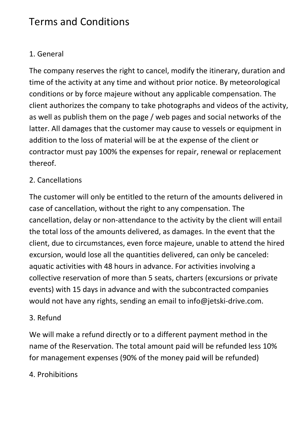# Terms and Conditions

# 1. General

The company reserves the right to cancel, modify the itinerary, duration and time of the activity at any time and without prior notice. By meteorological conditions or by force majeure without any applicable compensation. The client authorizes the company to take photographs and videos of the activity, as well as publish them on the page / web pages and social networks of the latter. All damages that the customer may cause to vessels or equipment in addition to the loss of material will be at the expense of the client or contractor must pay 100% the expenses for repair, renewal or replacement thereof.

#### 2. Cancellations

The customer will only be entitled to the return of the amounts delivered in case of cancellation, without the right to any compensation. The cancellation, delay or non-attendance to the activity by the client will entail the total loss of the amounts delivered, as damages. In the event that the client, due to circumstances, even force majeure, unable to attend the hired excursion, would lose all the quantities delivered, can only be canceled: aquatic activities with 48 hours in advance. For activities involving a collective reservation of more than 5 seats, charters (excursions or private events) with 15 days in advance and with the subcontracted companies would not have any rights, sending an email to info@jetski-drive.com.

#### 3. Refund

We will make a refund directly or to a different payment method in the name of the Reservation. The total amount paid will be refunded less 10% for management expenses (90% of the money paid will be refunded)

# 4. Prohibitions